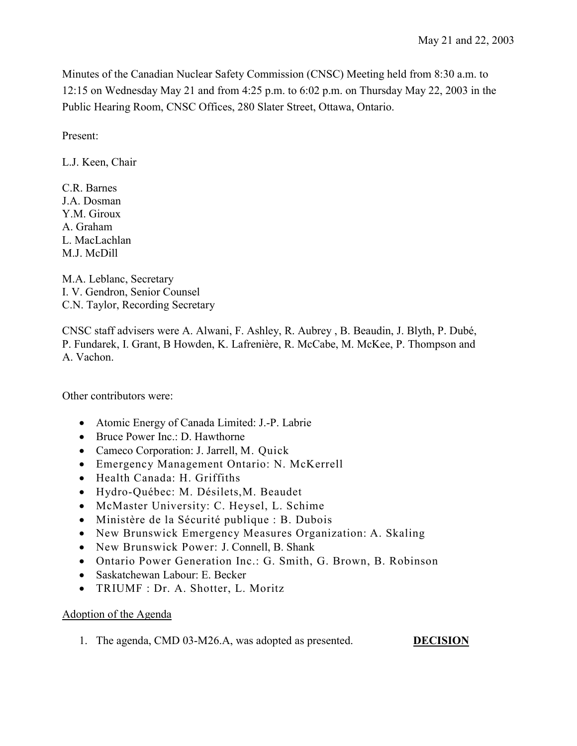Minutes of the Canadian Nuclear Safety Commission (CNSC) Meeting held from 8:30 a.m. to 12:15 on Wednesday May 21 and from 4:25 p.m. to 6:02 p.m. on Thursday May 22, 2003 in the Public Hearing Room, CNSC Offices, 280 Slater Street, Ottawa, Ontario.

Present:

L.J. Keen, Chair

C.R. Barnes J.A. Dosman Y.M. Giroux A. Graham L. MacLachlan M.J. McDill

M.A. Leblanc, Secretary I. V. Gendron, Senior Counsel C.N. Taylor, Recording Secretary

CNSC staff advisers were A. Alwani, F. Ashley, R. Aubrey , B. Beaudin, J. Blyth, P. Dubé, P. Fundarek, I. Grant, B Howden, K. Lafrenière, R. McCabe, M. McKee, P. Thompson and A. Vachon.

Other contributors were:

- Atomic Energy of Canada Limited: J.-P. Labrie
- Bruce Power Inc.: D. Hawthorne
- Cameco Corporation: J. Jarrell, M. Quick
- Emergency Management Ontario: N. McKerrell
- Health Canada: H. Griffiths
- Hydro-Québec: M. Désilets,M. Beaudet
- McMaster University: C. Heysel, L. Schime
- Ministère de la Sécurité publique : B. Dubois
- New Brunswick Emergency Measures Organization: A. Skaling
- New Brunswick Power: J. Connell, B. Shank
- Ontario Power Generation Inc.: G. Smith, G. Brown, B. Robinson
- Saskatchewan Labour: E. Becker
- TRIUMF : Dr. A. Shotter, L. Moritz

# Adoption of the Agenda

1. The agenda, CMD 03-M26.A, was adopted as presented. **DECISION**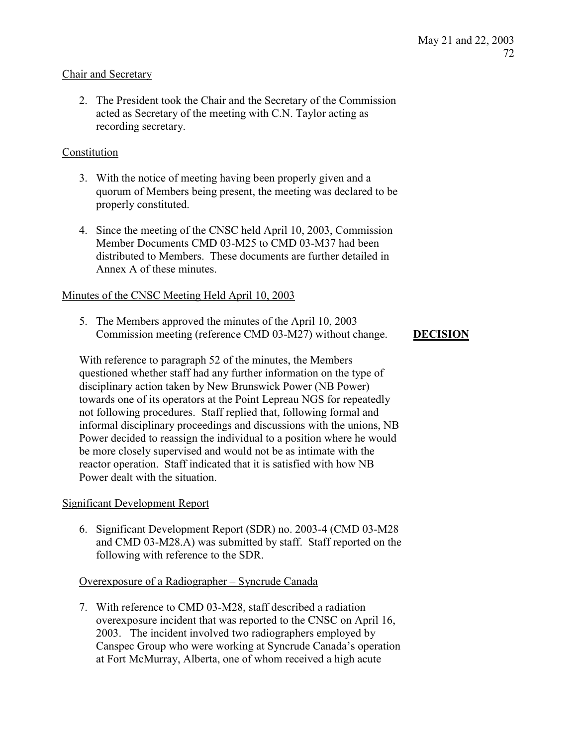# Chair and Secretary

2. The President took the Chair and the Secretary of the Commission acted as Secretary of the meeting with C.N. Taylor acting as recording secretary.

## Constitution

- 3. With the notice of meeting having been properly given and a quorum of Members being present, the meeting was declared to be properly constituted.
- 4. Since the meeting of the CNSC held April 10, 2003, Commission Member Documents CMD 03-M25 to CMD 03-M37 had been distributed to Members. These documents are further detailed in Annex A of these minutes.

## Minutes of the CNSC Meeting Held April 10, 2003

5. The Members approved the minutes of the April 10, 2003 Commission meeting (reference CMD 03-M27) without change. **DECISION**

With reference to paragraph 52 of the minutes, the Members questioned whether staff had any further information on the type of disciplinary action taken by New Brunswick Power (NB Power) towards one of its operators at the Point Lepreau NGS for repeatedly not following procedures. Staff replied that, following formal and informal disciplinary proceedings and discussions with the unions, NB Power decided to reassign the individual to a position where he would be more closely supervised and would not be as intimate with the reactor operation. Staff indicated that it is satisfied with how NB Power dealt with the situation.

## Significant Development Report

6. Significant Development Report (SDR) no. 2003-4 (CMD 03-M28 and CMD 03-M28.A) was submitted by staff. Staff reported on the following with reference to the SDR.

## Overexposure of a Radiographer – Syncrude Canada

7. With reference to CMD 03-M28, staff described a radiation overexposure incident that was reported to the CNSC on April 16, 2003. The incident involved two radiographers employed by Canspec Group who were working at Syncrude Canada's operation at Fort McMurray, Alberta, one of whom received a high acute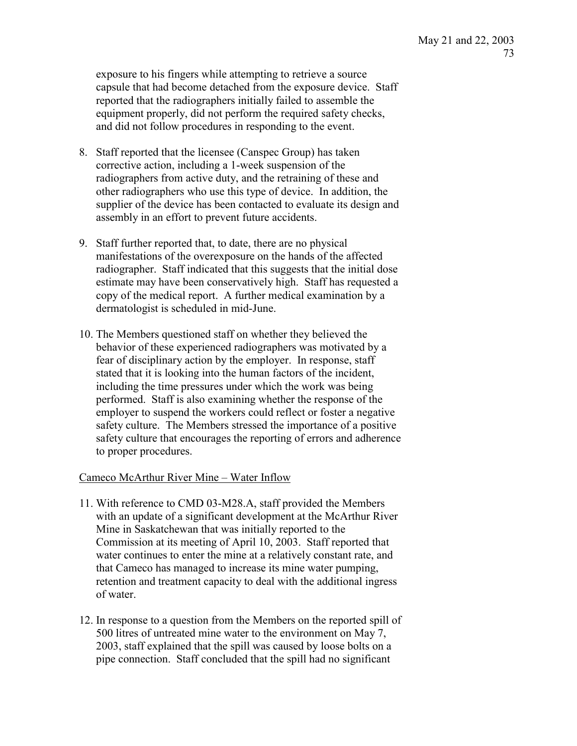exposure to his fingers while attempting to retrieve a source capsule that had become detached from the exposure device. Staff reported that the radiographers initially failed to assemble the equipment properly, did not perform the required safety checks, and did not follow procedures in responding to the event.

- 8. Staff reported that the licensee (Canspec Group) has taken corrective action, including a 1-week suspension of the radiographers from active duty, and the retraining of these and other radiographers who use this type of device. In addition, the supplier of the device has been contacted to evaluate its design and assembly in an effort to prevent future accidents.
- 9. Staff further reported that, to date, there are no physical manifestations of the overexposure on the hands of the affected radiographer. Staff indicated that this suggests that the initial dose estimate may have been conservatively high. Staff has requested a copy of the medical report. A further medical examination by a dermatologist is scheduled in mid-June.
- 10. The Members questioned staff on whether they believed the behavior of these experienced radiographers was motivated by a fear of disciplinary action by the employer. In response, staff stated that it is looking into the human factors of the incident, including the time pressures under which the work was being performed. Staff is also examining whether the response of the employer to suspend the workers could reflect or foster a negative safety culture. The Members stressed the importance of a positive safety culture that encourages the reporting of errors and adherence to proper procedures.

## Cameco McArthur River Mine – Water Inflow

- 11. With reference to CMD 03-M28.A, staff provided the Members with an update of a significant development at the McArthur River Mine in Saskatchewan that was initially reported to the Commission at its meeting of April 10, 2003. Staff reported that water continues to enter the mine at a relatively constant rate, and that Cameco has managed to increase its mine water pumping, retention and treatment capacity to deal with the additional ingress of water.
- 12. In response to a question from the Members on the reported spill of 500 litres of untreated mine water to the environment on May 7, 2003, staff explained that the spill was caused by loose bolts on a pipe connection. Staff concluded that the spill had no significant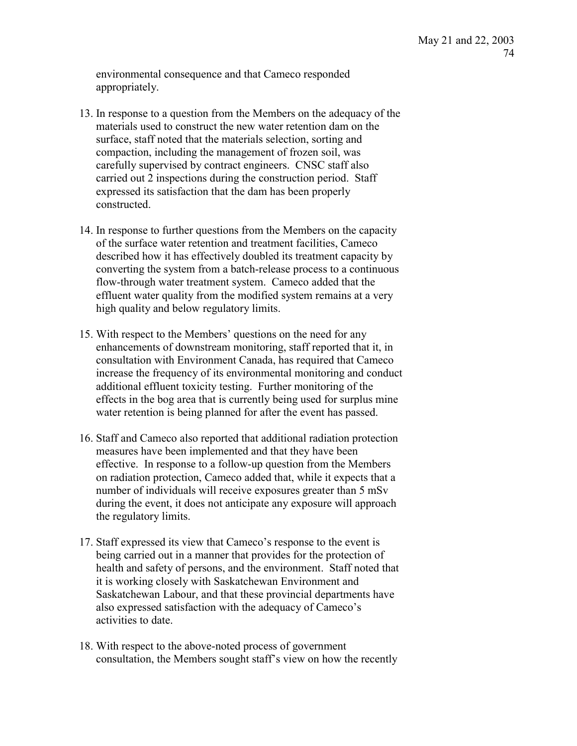environmental consequence and that Cameco responded appropriately.

- 13. In response to a question from the Members on the adequacy of the materials used to construct the new water retention dam on the surface, staff noted that the materials selection, sorting and compaction, including the management of frozen soil, was carefully supervised by contract engineers. CNSC staff also carried out 2 inspections during the construction period. Staff expressed its satisfaction that the dam has been properly constructed.
- 14. In response to further questions from the Members on the capacity of the surface water retention and treatment facilities, Cameco described how it has effectively doubled its treatment capacity by converting the system from a batch-release process to a continuous flow-through water treatment system. Cameco added that the effluent water quality from the modified system remains at a very high quality and below regulatory limits.
- 15. With respect to the Members' questions on the need for any enhancements of downstream monitoring, staff reported that it, in consultation with Environment Canada, has required that Cameco increase the frequency of its environmental monitoring and conduct additional effluent toxicity testing. Further monitoring of the effects in the bog area that is currently being used for surplus mine water retention is being planned for after the event has passed.
- 16. Staff and Cameco also reported that additional radiation protection measures have been implemented and that they have been effective. In response to a follow-up question from the Members on radiation protection, Cameco added that, while it expects that a number of individuals will receive exposures greater than 5 mSv during the event, it does not anticipate any exposure will approach the regulatory limits.
- 17. Staff expressed its view that Cameco's response to the event is being carried out in a manner that provides for the protection of health and safety of persons, and the environment. Staff noted that it is working closely with Saskatchewan Environment and Saskatchewan Labour, and that these provincial departments have also expressed satisfaction with the adequacy of Cameco's activities to date.
- 18. With respect to the above-noted process of government consultation, the Members sought staff's view on how the recently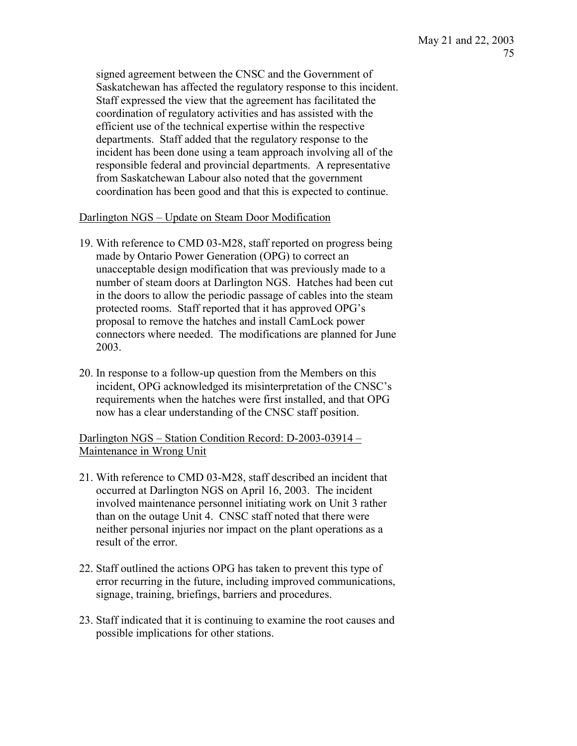signed agreement between the CNSC and the Government of Saskatchewan has affected the regulatory response to this incident. Staff expressed the view that the agreement has facilitated the coordination of regulatory activities and has assisted with the efficient use of the technical expertise within the respective departments. Staff added that the regulatory response to the incident has been done using a team approach involving all of the responsible federal and provincial departments. A representative from Saskatchewan Labour also noted that the government coordination has been good and that this is expected to continue.

## Darlington NGS – Update on Steam Door Modification

- 19. With reference to CMD 03-M28, staff reported on progress being made by Ontario Power Generation (OPG) to correct an unacceptable design modification that was previously made to a number of steam doors at Darlington NGS. Hatches had been cut in the doors to allow the periodic passage of cables into the steam protected rooms. Staff reported that it has approved OPG's proposal to remove the hatches and install CamLock power connectors where needed. The modifications are planned for June 2003.
- 20. In response to a follow-up question from the Members on this incident, OPG acknowledged its misinterpretation of the CNSC's requirements when the hatches were first installed, and that OPG now has a clear understanding of the CNSC staff position.

Darlington NGS – Station Condition Record: D-2003-03914 – Maintenance in Wrong Unit

- 21. With reference to CMD 03-M28, staff described an incident that occurred at Darlington NGS on April 16, 2003. The incident involved maintenance personnel initiating work on Unit 3 rather than on the outage Unit 4. CNSC staff noted that there were neither personal injuries nor impact on the plant operations as a result of the error.
- 22. Staff outlined the actions OPG has taken to prevent this type of error recurring in the future, including improved communications, signage, training, briefings, barriers and procedures.
- 23. Staff indicated that it is continuing to examine the root causes and possible implications for other stations.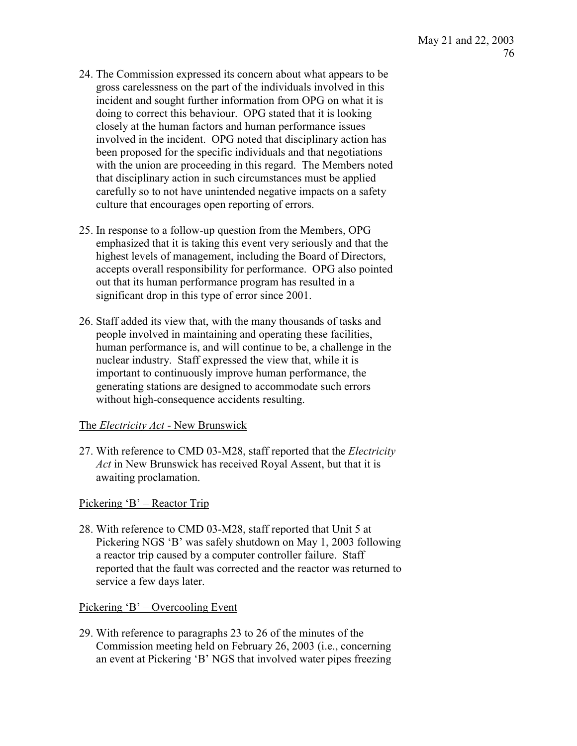- 24. The Commission expressed its concern about what appears to be gross carelessness on the part of the individuals involved in this incident and sought further information from OPG on what it is doing to correct this behaviour. OPG stated that it is looking closely at the human factors and human performance issues involved in the incident. OPG noted that disciplinary action has been proposed for the specific individuals and that negotiations with the union are proceeding in this regard. The Members noted that disciplinary action in such circumstances must be applied carefully so to not have unintended negative impacts on a safety culture that encourages open reporting of errors.
- 25. In response to a follow-up question from the Members, OPG emphasized that it is taking this event very seriously and that the highest levels of management, including the Board of Directors, accepts overall responsibility for performance. OPG also pointed out that its human performance program has resulted in a significant drop in this type of error since 2001.
- 26. Staff added its view that, with the many thousands of tasks and people involved in maintaining and operating these facilities, human performance is, and will continue to be, a challenge in the nuclear industry. Staff expressed the view that, while it is important to continuously improve human performance, the generating stations are designed to accommodate such errors without high-consequence accidents resulting.

# The *Electricity Act* - New Brunswick

27. With reference to CMD 03-M28, staff reported that the *Electricity Act* in New Brunswick has received Royal Assent, but that it is awaiting proclamation.

Pickering 'B' – Reactor Trip

28. With reference to CMD 03-M28, staff reported that Unit 5 at Pickering NGS 'B' was safely shutdown on May 1, 2003 following a reactor trip caused by a computer controller failure. Staff reported that the fault was corrected and the reactor was returned to service a few days later.

# Pickering 'B' – Overcooling Event

29. With reference to paragraphs 23 to 26 of the minutes of the Commission meeting held on February 26, 2003 (i.e., concerning an event at Pickering 'B' NGS that involved water pipes freezing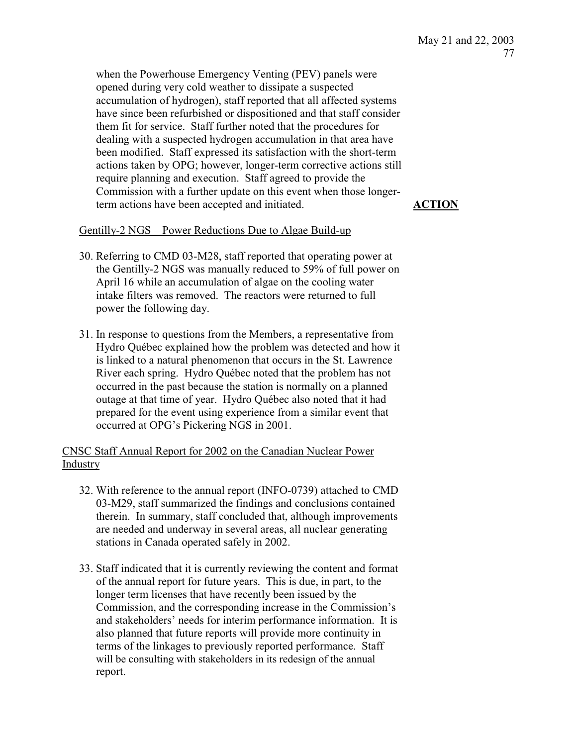when the Powerhouse Emergency Venting (PEV) panels were opened during very cold weather to dissipate a suspected accumulation of hydrogen), staff reported that all affected systems have since been refurbished or dispositioned and that staff consider them fit for service. Staff further noted that the procedures for dealing with a suspected hydrogen accumulation in that area have been modified. Staff expressed its satisfaction with the short-term actions taken by OPG; however, longer-term corrective actions still require planning and execution. Staff agreed to provide the Commission with a further update on this event when those longerterm actions have been accepted and initiated. **ACTION**

## Gentilly-2 NGS – Power Reductions Due to Algae Build-up

- 30. Referring to CMD 03-M28, staff reported that operating power at the Gentilly-2 NGS was manually reduced to 59% of full power on April 16 while an accumulation of algae on the cooling water intake filters was removed. The reactors were returned to full power the following day.
- 31. In response to questions from the Members, a representative from Hydro Québec explained how the problem was detected and how it is linked to a natural phenomenon that occurs in the St. Lawrence River each spring. Hydro Québec noted that the problem has not occurred in the past because the station is normally on a planned outage at that time of year. Hydro Québec also noted that it had prepared for the event using experience from a similar event that occurred at OPG's Pickering NGS in 2001.

CNSC Staff Annual Report for 2002 on the Canadian Nuclear Power Industry

- 32. With reference to the annual report (INFO-0739) attached to CMD 03-M29, staff summarized the findings and conclusions contained therein. In summary, staff concluded that, although improvements are needed and underway in several areas, all nuclear generating stations in Canada operated safely in 2002.
- 33. Staff indicated that it is currently reviewing the content and format of the annual report for future years. This is due, in part, to the longer term licenses that have recently been issued by the Commission, and the corresponding increase in the Commission's and stakeholders' needs for interim performance information. It is also planned that future reports will provide more continuity in terms of the linkages to previously reported performance. Staff will be consulting with stakeholders in its redesign of the annual report.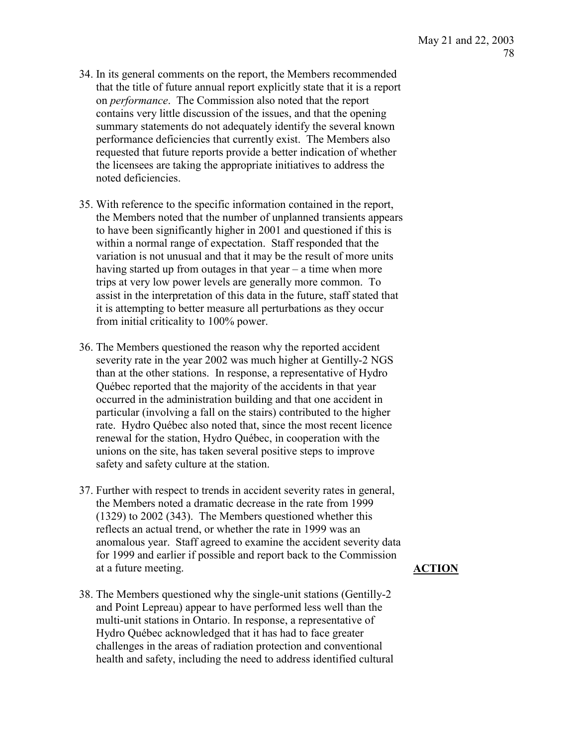- 34. In its general comments on the report, the Members recommended that the title of future annual report explicitly state that it is a report on *performance*. The Commission also noted that the report contains very little discussion of the issues, and that the opening summary statements do not adequately identify the several known performance deficiencies that currently exist. The Members also requested that future reports provide a better indication of whether the licensees are taking the appropriate initiatives to address the noted deficiencies.
- 35. With reference to the specific information contained in the report, the Members noted that the number of unplanned transients appears to have been significantly higher in 2001 and questioned if this is within a normal range of expectation. Staff responded that the variation is not unusual and that it may be the result of more units having started up from outages in that year – a time when more trips at very low power levels are generally more common. To assist in the interpretation of this data in the future, staff stated that it is attempting to better measure all perturbations as they occur from initial criticality to 100% power.
- 36. The Members questioned the reason why the reported accident severity rate in the year 2002 was much higher at Gentilly-2 NGS than at the other stations. In response, a representative of Hydro Québec reported that the majority of the accidents in that year occurred in the administration building and that one accident in particular (involving a fall on the stairs) contributed to the higher rate. Hydro Québec also noted that, since the most recent licence renewal for the station, Hydro Québec, in cooperation with the unions on the site, has taken several positive steps to improve safety and safety culture at the station.
- 37. Further with respect to trends in accident severity rates in general, the Members noted a dramatic decrease in the rate from 1999 (1329) to 2002 (343). The Members questioned whether this reflects an actual trend, or whether the rate in 1999 was an anomalous year. Staff agreed to examine the accident severity data for 1999 and earlier if possible and report back to the Commission at a future meeting. **ACTION**
- 38. The Members questioned why the single-unit stations (Gentilly-2 and Point Lepreau) appear to have performed less well than the multi-unit stations in Ontario. In response, a representative of Hydro Québec acknowledged that it has had to face greater challenges in the areas of radiation protection and conventional health and safety, including the need to address identified cultural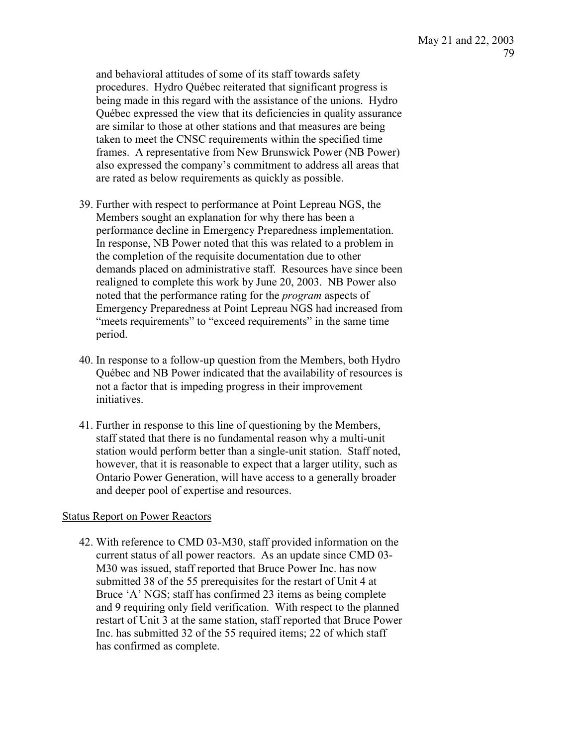and behavioral attitudes of some of its staff towards safety procedures. Hydro Québec reiterated that significant progress is being made in this regard with the assistance of the unions. Hydro Québec expressed the view that its deficiencies in quality assurance are similar to those at other stations and that measures are being taken to meet the CNSC requirements within the specified time frames. A representative from New Brunswick Power (NB Power) also expressed the company's commitment to address all areas that are rated as below requirements as quickly as possible.

- 39. Further with respect to performance at Point Lepreau NGS, the Members sought an explanation for why there has been a performance decline in Emergency Preparedness implementation. In response, NB Power noted that this was related to a problem in the completion of the requisite documentation due to other demands placed on administrative staff. Resources have since been realigned to complete this work by June 20, 2003. NB Power also noted that the performance rating for the *program* aspects of Emergency Preparedness at Point Lepreau NGS had increased from "meets requirements" to "exceed requirements" in the same time period.
- 40. In response to a follow-up question from the Members, both Hydro Québec and NB Power indicated that the availability of resources is not a factor that is impeding progress in their improvement initiatives.
- 41. Further in response to this line of questioning by the Members, staff stated that there is no fundamental reason why a multi-unit station would perform better than a single-unit station. Staff noted, however, that it is reasonable to expect that a larger utility, such as Ontario Power Generation, will have access to a generally broader and deeper pool of expertise and resources.

## Status Report on Power Reactors

42. With reference to CMD 03-M30, staff provided information on the current status of all power reactors. As an update since CMD 03- M30 was issued, staff reported that Bruce Power Inc. has now submitted 38 of the 55 prerequisites for the restart of Unit 4 at Bruce 'A' NGS; staff has confirmed 23 items as being complete and 9 requiring only field verification. With respect to the planned restart of Unit 3 at the same station, staff reported that Bruce Power Inc. has submitted 32 of the 55 required items; 22 of which staff has confirmed as complete.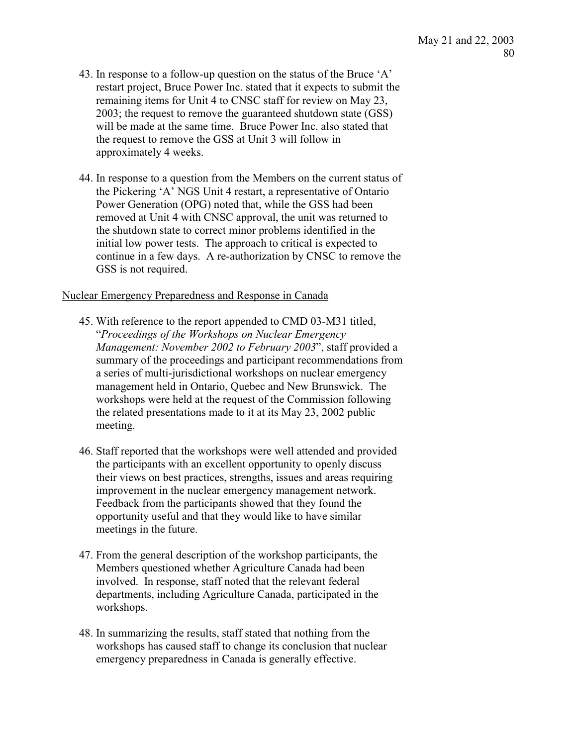- 43. In response to a follow-up question on the status of the Bruce 'A' restart project, Bruce Power Inc. stated that it expects to submit the remaining items for Unit 4 to CNSC staff for review on May 23, 2003; the request to remove the guaranteed shutdown state (GSS) will be made at the same time. Bruce Power Inc. also stated that the request to remove the GSS at Unit 3 will follow in approximately 4 weeks.
- 44. In response to a question from the Members on the current status of the Pickering 'A' NGS Unit 4 restart, a representative of Ontario Power Generation (OPG) noted that, while the GSS had been removed at Unit 4 with CNSC approval, the unit was returned to the shutdown state to correct minor problems identified in the initial low power tests. The approach to critical is expected to continue in a few days. A re-authorization by CNSC to remove the GSS is not required.

### Nuclear Emergency Preparedness and Response in Canada

- 45. With reference to the report appended to CMD 03-M31 titled, "*Proceedings of the Workshops on Nuclear Emergency Management: November 2002 to February 2003*", staff provided a summary of the proceedings and participant recommendations from a series of multi-jurisdictional workshops on nuclear emergency management held in Ontario, Quebec and New Brunswick. The workshops were held at the request of the Commission following the related presentations made to it at its May 23, 2002 public meeting.
- 46. Staff reported that the workshops were well attended and provided the participants with an excellent opportunity to openly discuss their views on best practices, strengths, issues and areas requiring improvement in the nuclear emergency management network. Feedback from the participants showed that they found the opportunity useful and that they would like to have similar meetings in the future.
- 47. From the general description of the workshop participants, the Members questioned whether Agriculture Canada had been involved. In response, staff noted that the relevant federal departments, including Agriculture Canada, participated in the workshops.
- 48. In summarizing the results, staff stated that nothing from the workshops has caused staff to change its conclusion that nuclear emergency preparedness in Canada is generally effective.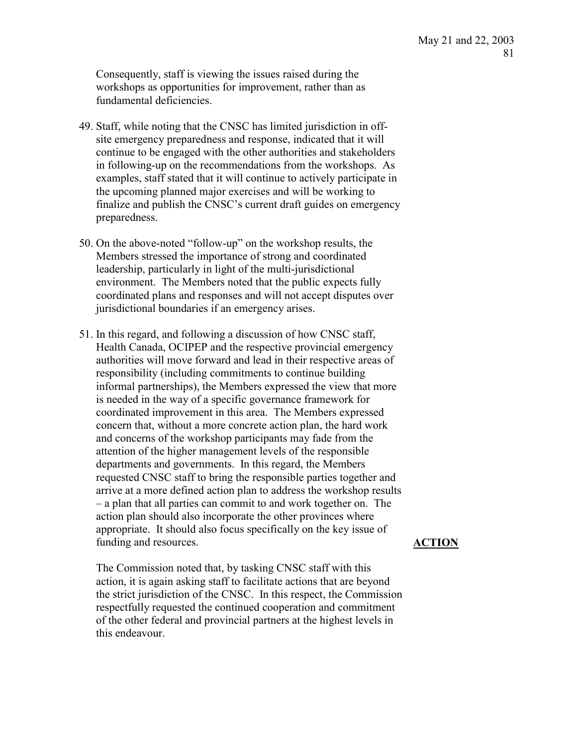Consequently, staff is viewing the issues raised during the workshops as opportunities for improvement, rather than as fundamental deficiencies.

- 49. Staff, while noting that the CNSC has limited jurisdiction in offsite emergency preparedness and response, indicated that it will continue to be engaged with the other authorities and stakeholders in following-up on the recommendations from the workshops. As examples, staff stated that it will continue to actively participate in the upcoming planned major exercises and will be working to finalize and publish the CNSC's current draft guides on emergency preparedness.
- 50. On the above-noted "follow-up" on the workshop results, the Members stressed the importance of strong and coordinated leadership, particularly in light of the multi-jurisdictional environment. The Members noted that the public expects fully coordinated plans and responses and will not accept disputes over jurisdictional boundaries if an emergency arises.
- 51. In this regard, and following a discussion of how CNSC staff, Health Canada, OCIPEP and the respective provincial emergency authorities will move forward and lead in their respective areas of responsibility (including commitments to continue building informal partnerships), the Members expressed the view that more is needed in the way of a specific governance framework for coordinated improvement in this area. The Members expressed concern that, without a more concrete action plan, the hard work and concerns of the workshop participants may fade from the attention of the higher management levels of the responsible departments and governments. In this regard, the Members requested CNSC staff to bring the responsible parties together and arrive at a more defined action plan to address the workshop results – a plan that all parties can commit to and work together on. The action plan should also incorporate the other provinces where appropriate. It should also focus specifically on the key issue of funding and resources.

The Commission noted that, by tasking CNSC staff with this action, it is again asking staff to facilitate actions that are beyond the strict jurisdiction of the CNSC. In this respect, the Commission respectfully requested the continued cooperation and commitment of the other federal and provincial partners at the highest levels in this endeavour.

## **ACTION**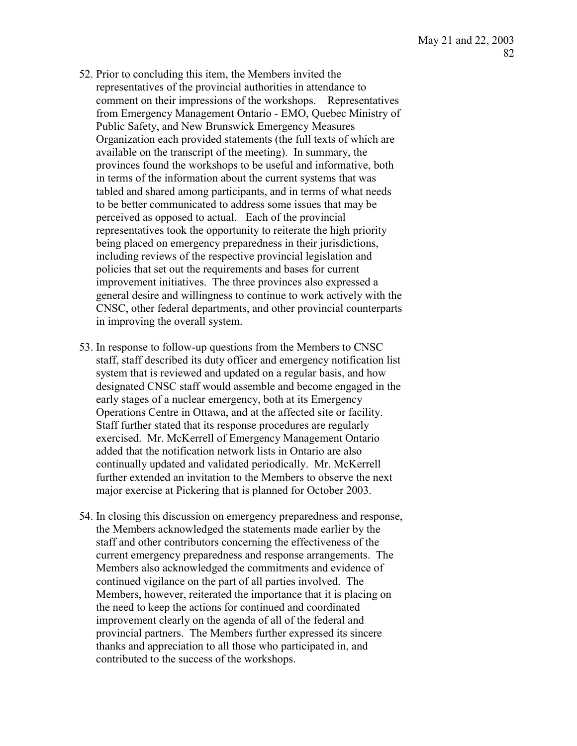- 52. Prior to concluding this item, the Members invited the representatives of the provincial authorities in attendance to comment on their impressions of the workshops. Representatives from Emergency Management Ontario - EMO, Quebec Ministry of Public Safety, and New Brunswick Emergency Measures Organization each provided statements (the full texts of which are available on the transcript of the meeting). In summary, the provinces found the workshops to be useful and informative, both in terms of the information about the current systems that was tabled and shared among participants, and in terms of what needs to be better communicated to address some issues that may be perceived as opposed to actual. Each of the provincial representatives took the opportunity to reiterate the high priority being placed on emergency preparedness in their jurisdictions, including reviews of the respective provincial legislation and policies that set out the requirements and bases for current improvement initiatives. The three provinces also expressed a general desire and willingness to continue to work actively with the CNSC, other federal departments, and other provincial counterparts in improving the overall system.
- 53. In response to follow-up questions from the Members to CNSC staff, staff described its duty officer and emergency notification list system that is reviewed and updated on a regular basis, and how designated CNSC staff would assemble and become engaged in the early stages of a nuclear emergency, both at its Emergency Operations Centre in Ottawa, and at the affected site or facility. Staff further stated that its response procedures are regularly exercised. Mr. McKerrell of Emergency Management Ontario added that the notification network lists in Ontario are also continually updated and validated periodically. Mr. McKerrell further extended an invitation to the Members to observe the next major exercise at Pickering that is planned for October 2003.
- 54. In closing this discussion on emergency preparedness and response, the Members acknowledged the statements made earlier by the staff and other contributors concerning the effectiveness of the current emergency preparedness and response arrangements. The Members also acknowledged the commitments and evidence of continued vigilance on the part of all parties involved. The Members, however, reiterated the importance that it is placing on the need to keep the actions for continued and coordinated improvement clearly on the agenda of all of the federal and provincial partners. The Members further expressed its sincere thanks and appreciation to all those who participated in, and contributed to the success of the workshops.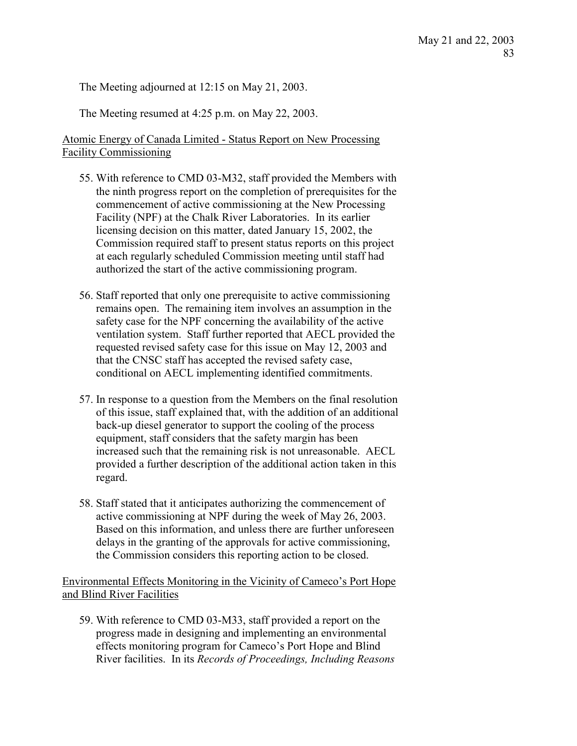The Meeting adjourned at 12:15 on May 21, 2003.

The Meeting resumed at 4:25 p.m. on May 22, 2003.

# Atomic Energy of Canada Limited - Status Report on New Processing Facility Commissioning

- 55. With reference to CMD 03-M32, staff provided the Members with the ninth progress report on the completion of prerequisites for the commencement of active commissioning at the New Processing Facility (NPF) at the Chalk River Laboratories. In its earlier licensing decision on this matter, dated January 15, 2002, the Commission required staff to present status reports on this project at each regularly scheduled Commission meeting until staff had authorized the start of the active commissioning program.
- 56. Staff reported that only one prerequisite to active commissioning remains open. The remaining item involves an assumption in the safety case for the NPF concerning the availability of the active ventilation system. Staff further reported that AECL provided the requested revised safety case for this issue on May 12, 2003 and that the CNSC staff has accepted the revised safety case, conditional on AECL implementing identified commitments.
- 57. In response to a question from the Members on the final resolution of this issue, staff explained that, with the addition of an additional back-up diesel generator to support the cooling of the process equipment, staff considers that the safety margin has been increased such that the remaining risk is not unreasonable. AECL provided a further description of the additional action taken in this regard.
- 58. Staff stated that it anticipates authorizing the commencement of active commissioning at NPF during the week of May 26, 2003. Based on this information, and unless there are further unforeseen delays in the granting of the approvals for active commissioning, the Commission considers this reporting action to be closed.

Environmental Effects Monitoring in the Vicinity of Cameco's Port Hope and Blind River Facilities

59. With reference to CMD 03-M33, staff provided a report on the progress made in designing and implementing an environmental effects monitoring program for Cameco's Port Hope and Blind River facilities. In its *Records of Proceedings, Including Reasons*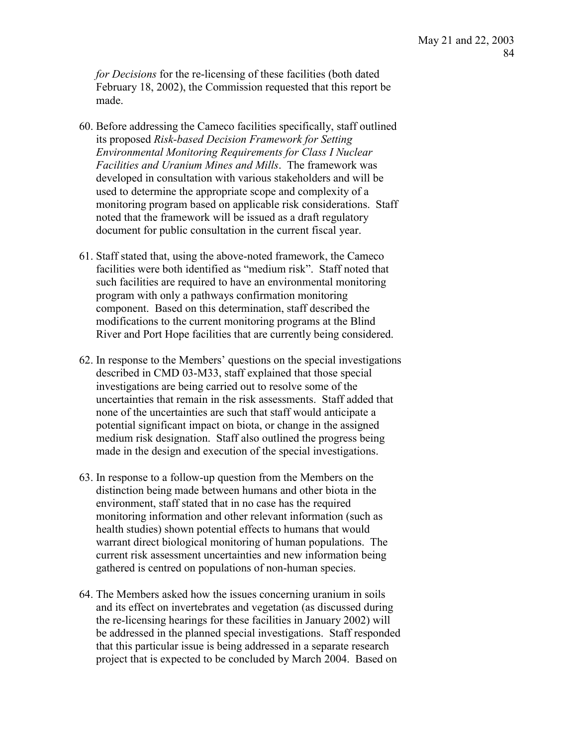*for Decisions* for the re-licensing of these facilities (both dated February 18, 2002), the Commission requested that this report be made.

- 60. Before addressing the Cameco facilities specifically, staff outlined its proposed *Risk-based Decision Framework for Setting Environmental Monitoring Requirements for Class I Nuclear Facilities and Uranium Mines and Mills*. The framework was developed in consultation with various stakeholders and will be used to determine the appropriate scope and complexity of a monitoring program based on applicable risk considerations. Staff noted that the framework will be issued as a draft regulatory document for public consultation in the current fiscal year.
- 61. Staff stated that, using the above-noted framework, the Cameco facilities were both identified as "medium risk". Staff noted that such facilities are required to have an environmental monitoring program with only a pathways confirmation monitoring component. Based on this determination, staff described the modifications to the current monitoring programs at the Blind River and Port Hope facilities that are currently being considered.
- 62. In response to the Members' questions on the special investigations described in CMD 03-M33, staff explained that those special investigations are being carried out to resolve some of the uncertainties that remain in the risk assessments. Staff added that none of the uncertainties are such that staff would anticipate a potential significant impact on biota, or change in the assigned medium risk designation. Staff also outlined the progress being made in the design and execution of the special investigations.
- 63. In response to a follow-up question from the Members on the distinction being made between humans and other biota in the environment, staff stated that in no case has the required monitoring information and other relevant information (such as health studies) shown potential effects to humans that would warrant direct biological monitoring of human populations. The current risk assessment uncertainties and new information being gathered is centred on populations of non-human species.
- 64. The Members asked how the issues concerning uranium in soils and its effect on invertebrates and vegetation (as discussed during the re-licensing hearings for these facilities in January 2002) will be addressed in the planned special investigations. Staff responded that this particular issue is being addressed in a separate research project that is expected to be concluded by March 2004. Based on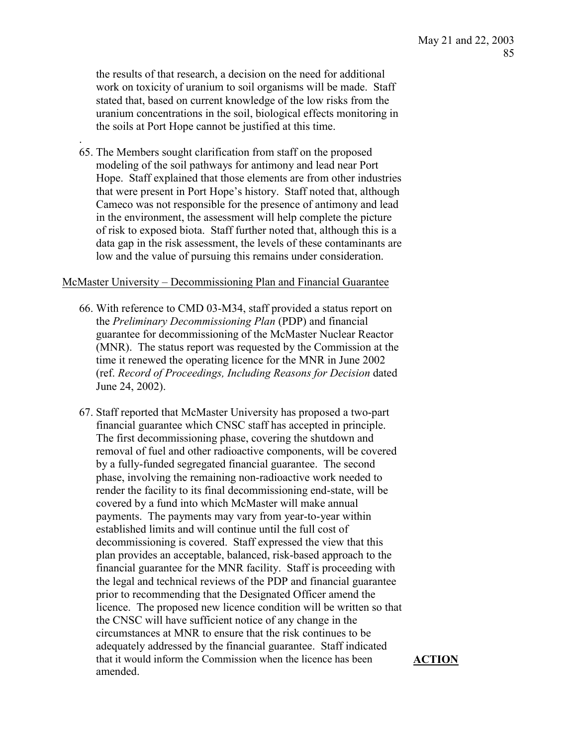the results of that research, a decision on the need for additional work on toxicity of uranium to soil organisms will be made. Staff stated that, based on current knowledge of the low risks from the uranium concentrations in the soil, biological effects monitoring in the soils at Port Hope cannot be justified at this time.

65. The Members sought clarification from staff on the proposed modeling of the soil pathways for antimony and lead near Port Hope. Staff explained that those elements are from other industries that were present in Port Hope's history. Staff noted that, although Cameco was not responsible for the presence of antimony and lead in the environment, the assessment will help complete the picture of risk to exposed biota. Staff further noted that, although this is a data gap in the risk assessment, the levels of these contaminants are low and the value of pursuing this remains under consideration.

.

### McMaster University – Decommissioning Plan and Financial Guarantee

- 66. With reference to CMD 03-M34, staff provided a status report on the *Preliminary Decommissioning Plan* (PDP) and financial guarantee for decommissioning of the McMaster Nuclear Reactor (MNR). The status report was requested by the Commission at the time it renewed the operating licence for the MNR in June 2002 (ref. *Record of Proceedings, Including Reasons for Decision* dated June 24, 2002).
- 67. Staff reported that McMaster University has proposed a two-part financial guarantee which CNSC staff has accepted in principle. The first decommissioning phase, covering the shutdown and removal of fuel and other radioactive components, will be covered by a fully-funded segregated financial guarantee. The second phase, involving the remaining non-radioactive work needed to render the facility to its final decommissioning end-state, will be covered by a fund into which McMaster will make annual payments. The payments may vary from year-to-year within established limits and will continue until the full cost of decommissioning is covered. Staff expressed the view that this plan provides an acceptable, balanced, risk-based approach to the financial guarantee for the MNR facility. Staff is proceeding with the legal and technical reviews of the PDP and financial guarantee prior to recommending that the Designated Officer amend the licence. The proposed new licence condition will be written so that the CNSC will have sufficient notice of any change in the circumstances at MNR to ensure that the risk continues to be adequately addressed by the financial guarantee. Staff indicated that it would inform the Commission when the licence has been amended.

**ACTION**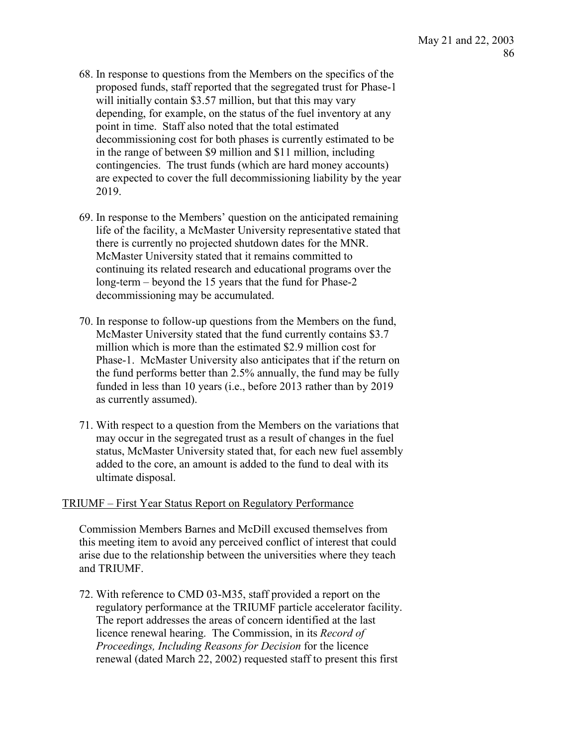- 68. In response to questions from the Members on the specifics of the proposed funds, staff reported that the segregated trust for Phase-1 will initially contain \$3.57 million, but that this may vary depending, for example, on the status of the fuel inventory at any point in time. Staff also noted that the total estimated decommissioning cost for both phases is currently estimated to be in the range of between \$9 million and \$11 million, including contingencies. The trust funds (which are hard money accounts) are expected to cover the full decommissioning liability by the year 2019.
- 69. In response to the Members' question on the anticipated remaining life of the facility, a McMaster University representative stated that there is currently no projected shutdown dates for the MNR. McMaster University stated that it remains committed to continuing its related research and educational programs over the long-term – beyond the 15 years that the fund for Phase-2 decommissioning may be accumulated.
- 70. In response to follow-up questions from the Members on the fund, McMaster University stated that the fund currently contains \$3.7 million which is more than the estimated \$2.9 million cost for Phase-1. McMaster University also anticipates that if the return on the fund performs better than 2.5% annually, the fund may be fully funded in less than 10 years (i.e., before 2013 rather than by 2019 as currently assumed).
- 71. With respect to a question from the Members on the variations that may occur in the segregated trust as a result of changes in the fuel status, McMaster University stated that, for each new fuel assembly added to the core, an amount is added to the fund to deal with its ultimate disposal.

## TRIUMF – First Year Status Report on Regulatory Performance

Commission Members Barnes and McDill excused themselves from this meeting item to avoid any perceived conflict of interest that could arise due to the relationship between the universities where they teach and TRIUMF.

72. With reference to CMD 03-M35, staff provided a report on the regulatory performance at the TRIUMF particle accelerator facility. The report addresses the areas of concern identified at the last licence renewal hearing. The Commission, in its *Record of Proceedings, Including Reasons for Decision* for the licence renewal (dated March 22, 2002) requested staff to present this first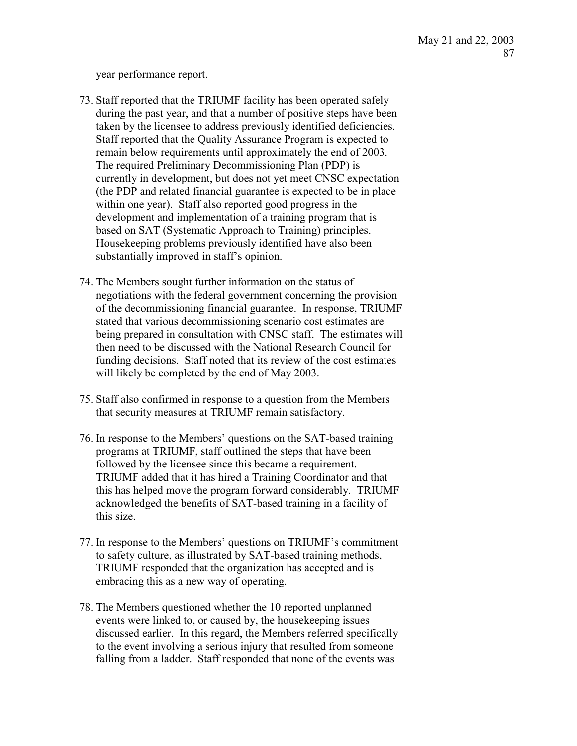year performance report.

- 73. Staff reported that the TRIUMF facility has been operated safely during the past year, and that a number of positive steps have been taken by the licensee to address previously identified deficiencies. Staff reported that the Quality Assurance Program is expected to remain below requirements until approximately the end of 2003. The required Preliminary Decommissioning Plan (PDP) is currently in development, but does not yet meet CNSC expectation (the PDP and related financial guarantee is expected to be in place within one year). Staff also reported good progress in the development and implementation of a training program that is based on SAT (Systematic Approach to Training) principles. Housekeeping problems previously identified have also been substantially improved in staff's opinion.
- 74. The Members sought further information on the status of negotiations with the federal government concerning the provision of the decommissioning financial guarantee. In response, TRIUMF stated that various decommissioning scenario cost estimates are being prepared in consultation with CNSC staff. The estimates will then need to be discussed with the National Research Council for funding decisions. Staff noted that its review of the cost estimates will likely be completed by the end of May 2003.
- 75. Staff also confirmed in response to a question from the Members that security measures at TRIUMF remain satisfactory.
- 76. In response to the Members' questions on the SAT-based training programs at TRIUMF, staff outlined the steps that have been followed by the licensee since this became a requirement. TRIUMF added that it has hired a Training Coordinator and that this has helped move the program forward considerably. TRIUMF acknowledged the benefits of SAT-based training in a facility of this size.
- 77. In response to the Members' questions on TRIUMF's commitment to safety culture, as illustrated by SAT-based training methods, TRIUMF responded that the organization has accepted and is embracing this as a new way of operating.
- 78. The Members questioned whether the 10 reported unplanned events were linked to, or caused by, the housekeeping issues discussed earlier. In this regard, the Members referred specifically to the event involving a serious injury that resulted from someone falling from a ladder. Staff responded that none of the events was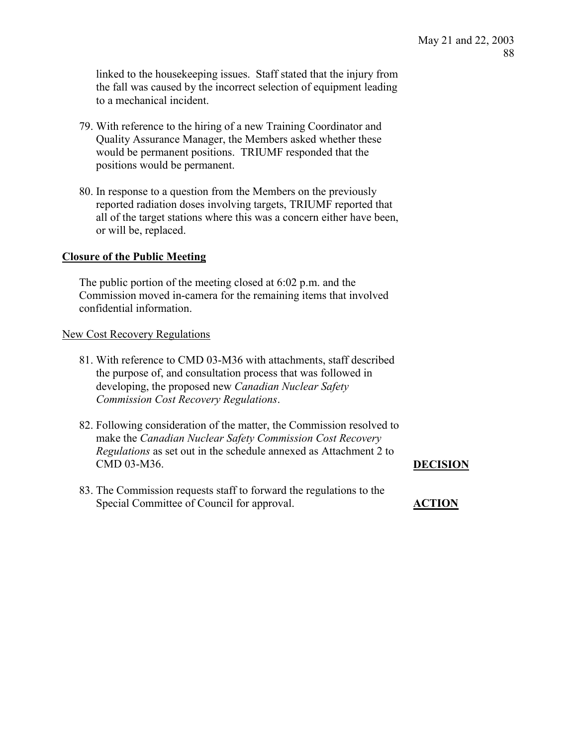linked to the housekeeping issues. Staff stated that the injury from the fall was caused by the incorrect selection of equipment leading to a mechanical incident.

- 79. With reference to the hiring of a new Training Coordinator and Quality Assurance Manager, the Members asked whether these would be permanent positions. TRIUMF responded that the positions would be permanent.
- 80. In response to a question from the Members on the previously reported radiation doses involving targets, TRIUMF reported that all of the target stations where this was a concern either have been, or will be, replaced.

## **Closure of the Public Meeting**

The public portion of the meeting closed at 6:02 p.m. and the Commission moved in-camera for the remaining items that involved confidential information.

## New Cost Recovery Regulations

- 81. With reference to CMD 03-M36 with attachments, staff described the purpose of, and consultation process that was followed in developing, the proposed new *Canadian Nuclear Safety Commission Cost Recovery Regulations*.
- 82. Following consideration of the matter, the Commission resolved to make the *Canadian Nuclear Safety Commission Cost Recovery Regulations* as set out in the schedule annexed as Attachment 2 to CMD 03-M36. **DECISION**
- 83. The Commission requests staff to forward the regulations to the Special Committee of Council for approval. **ACTION**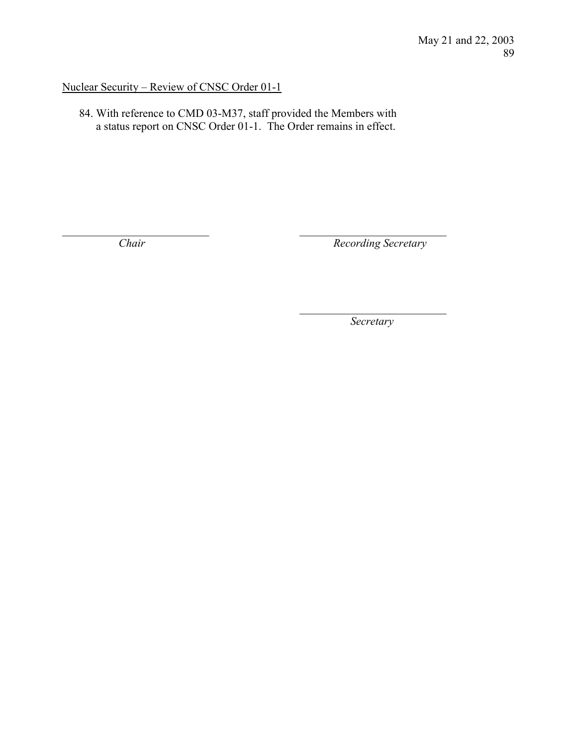## Nuclear Security – Review of CNSC Order 01-1

84. With reference to CMD 03-M37, staff provided the Members with a status report on CNSC Order 01-1. The Order remains in effect.

 $\mathcal{L}_\text{max}$  , and the contract of the contract of the contract of the contract of the contract of the contract of

 $\mathcal{L}_\text{max}$  and  $\mathcal{L}_\text{max}$  and  $\mathcal{L}_\text{max}$  and  $\mathcal{L}_\text{max}$  and  $\mathcal{L}_\text{max}$  and  $\mathcal{L}_\text{max}$ 

*Chair Recording Secretary* 

*Secretary*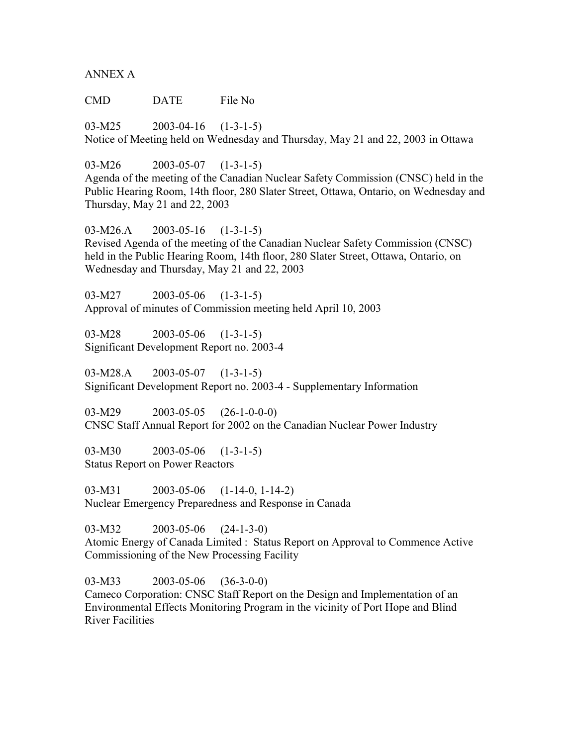ANNEX A

CMD DATE File No

03-M25 2003-04-16 (1-3-1-5) Notice of Meeting held on Wednesday and Thursday, May 21 and 22, 2003 in Ottawa

03-M26 2003-05-07 (1-3-1-5)

Agenda of the meeting of the Canadian Nuclear Safety Commission (CNSC) held in the Public Hearing Room, 14th floor, 280 Slater Street, Ottawa, Ontario, on Wednesday and Thursday, May 21 and 22, 2003

03-M26.A 2003-05-16 (1-3-1-5) Revised Agenda of the meeting of the Canadian Nuclear Safety Commission (CNSC) held in the Public Hearing Room, 14th floor, 280 Slater Street, Ottawa, Ontario, on Wednesday and Thursday, May 21 and 22, 2003

03-M27 2003-05-06 (1-3-1-5) Approval of minutes of Commission meeting held April 10, 2003

03-M28 2003-05-06 (1-3-1-5) Significant Development Report no. 2003-4

03-M28.A 2003-05-07 (1-3-1-5) Significant Development Report no. 2003-4 - Supplementary Information

03-M29 2003-05-05 (26-1-0-0-0) CNSC Staff Annual Report for 2002 on the Canadian Nuclear Power Industry

03-M30 2003-05-06 (1-3-1-5) Status Report on Power Reactors

03-M31 2003-05-06 (1-14-0, 1-14-2) Nuclear Emergency Preparedness and Response in Canada

03-M32 2003-05-06 (24-1-3-0)

Atomic Energy of Canada Limited : Status Report on Approval to Commence Active Commissioning of the New Processing Facility

03-M33 2003-05-06 (36-3-0-0) Cameco Corporation: CNSC Staff Report on the Design and Implementation of an Environmental Effects Monitoring Program in the vicinity of Port Hope and Blind River Facilities